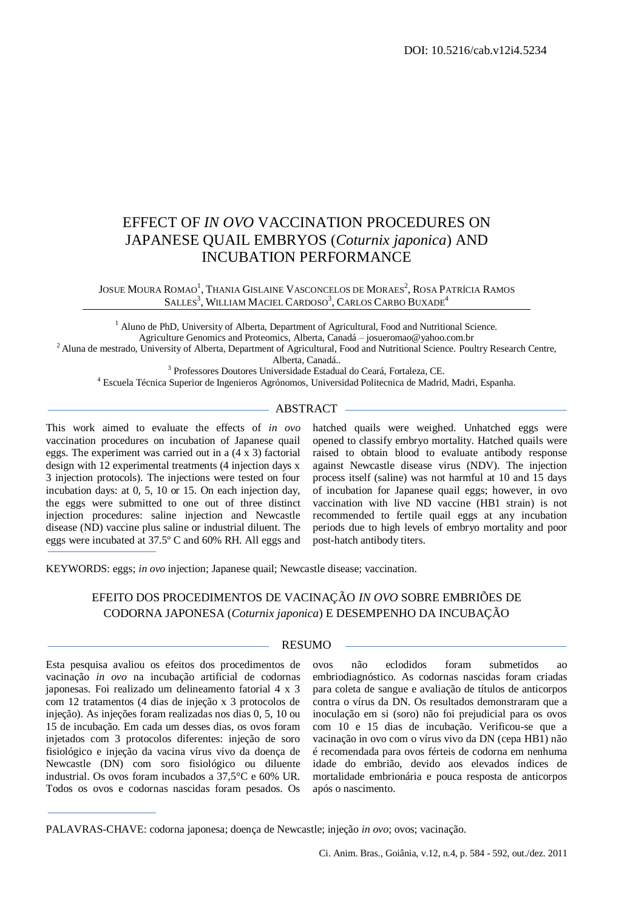# EFFECT OF *IN OVO* VACCINATION PROCEDURES ON JAPANESE QUAIL EMBRYOS (*Coturnix japonica*) AND INCUBATION PERFORMANCE

JOSUE MOURA ROMAO<sup>1</sup>, Thania Gislaine Vasconcelos de Moraes<sup>2</sup>, Rosa Patrícia Ramos SALLES<sup>3</sup>, WILLIAM MACIEL CARDOSO<sup>3</sup>, CARLOS CARBO BUXADE<sup>4</sup>

<sup>1</sup> Aluno de PhD, University of Alberta, Department of Agricultural, Food and Nutritional Science. Agriculture Genomics and Proteomics, Alberta, Canadá – josueromao@yahoo.com.br <sup>2</sup> Aluna de mestrado, University of Alberta, Department of Agricultural, Food and Nutritional Science. Poultry Research Centre,

Alberta, Canadá..

3 Professores Doutores Universidade Estadual do Ceará, Fortaleza, CE.

<sup>4</sup> Escuela Técnica Superior de Ingenieros Agrónomos, Universidad Politecnica de Madrid, Madri, Espanha.

## $-$  ABSTRACT  $-$

This work aimed to evaluate the effects of *in ovo* vaccination procedures on incubation of Japanese quail eggs. The experiment was carried out in a (4 x 3) factorial design with 12 experimental treatments (4 injection days x 3 injection protocols). The injections were tested on four incubation days: at 0, 5, 10 or 15. On each injection day, the eggs were submitted to one out of three distinct injection procedures: saline injection and Newcastle disease (ND) vaccine plus saline or industrial diluent. The eggs were incubated at 37.5º C and 60% RH. All eggs and

hatched quails were weighed. Unhatched eggs were opened to classify embryo mortality. Hatched quails were raised to obtain blood to evaluate antibody response against Newcastle disease virus (NDV). The injection process itself (saline) was not harmful at 10 and 15 days of incubation for Japanese quail eggs; however, in ovo vaccination with live ND vaccine (HB1 strain) is not recommended to fertile quail eggs at any incubation periods due to high levels of embryo mortality and poor post-hatch antibody titers.

KEYWORDS: eggs; *in ovo* injection; Japanese quail; Newcastle disease; vaccination.

# EFEITO DOS PROCEDIMENTOS DE VACINAÇÃO *IN OVO* SOBRE EMBRIÕES DE CODORNA JAPONESA (*Coturnix japonica*) E DESEMPENHO DA INCUBAÇÃO

#### RESUMO

Esta pesquisa avaliou os efeitos dos procedimentos de vacinação *in ovo* na incubação artificial de codornas japonesas. Foi realizado um delineamento fatorial 4 x 3 com 12 tratamentos (4 dias de injeção x 3 protocolos de injeção). As injeções foram realizadas nos dias 0, 5, 10 ou 15 de incubação. Em cada um desses dias, os ovos foram injetados com 3 protocolos diferentes: injeção de soro fisiológico e injeção da vacina vírus vivo da doença de Newcastle (DN) com soro fisiológico ou diluente industrial. Os ovos foram incubados a 37,5°C e 60% UR. Todos os ovos e codornas nascidas foram pesados. Os

ovos não eclodidos foram submetidos ao embriodiagnóstico. As codornas nascidas foram criadas para coleta de sangue e avaliação de títulos de anticorpos contra o vírus da DN. Os resultados demonstraram que a inoculação em si (soro) não foi prejudicial para os ovos com 10 e 15 dias de incubação. Verificou-se que a vacinação in ovo com o vírus vivo da DN (cepa HB1) não é recomendada para ovos férteis de codorna em nenhuma idade do embrião, devido aos elevados índices de mortalidade embrionária e pouca resposta de anticorpos após o nascimento.

PALAVRAS-CHAVE: codorna japonesa; doença de Newcastle; injeção *in ovo*; ovos; vacinação.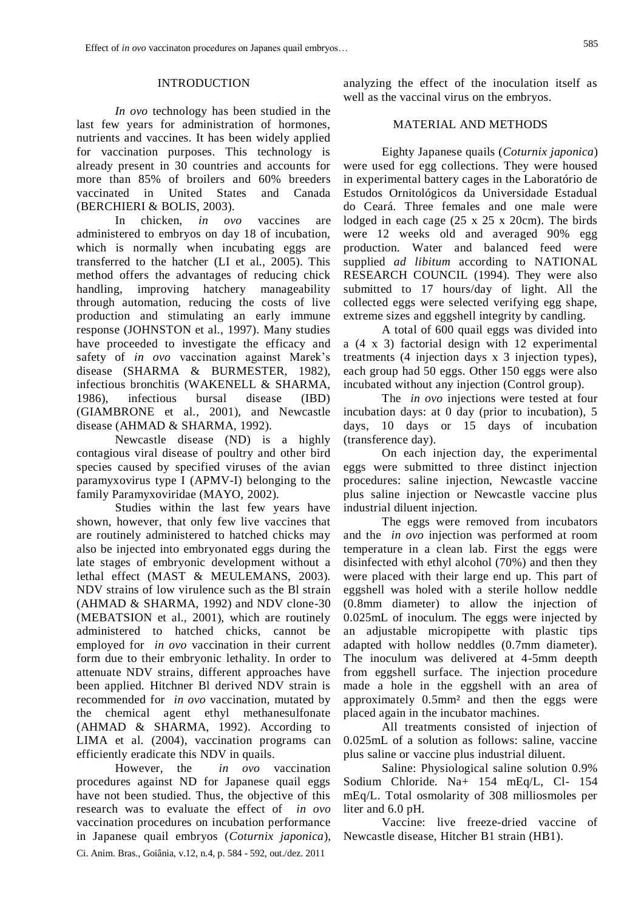### INTRODUCTION

*In ovo* technology has been studied in the last few years for administration of hormones, nutrients and vaccines. It has been widely applied for vaccination purposes. This technology is already present in 30 countries and accounts for more than 85% of broilers and 60% breeders vaccinated in United States and Canada (BERCHIERI & BOLIS, 2003).

In chicken, *in ovo* vaccines are administered to embryos on day 18 of incubation, which is normally when incubating eggs are transferred to the hatcher (LI et al., 2005). This method offers the advantages of reducing chick handling, improving hatchery manageability through automation, reducing the costs of live production and stimulating an early immune response (JOHNSTON et al., 1997). Many studies have proceeded to investigate the efficacy and safety of *in ovo* vaccination against Marek's disease (SHARMA & BURMESTER, 1982), infectious bronchitis (WAKENELL & SHARMA, 1986), infectious bursal disease (IBD) (GIAMBRONE et al., 2001), and Newcastle disease (AHMAD & SHARMA, 1992).

Newcastle disease (ND) is a highly contagious viral disease of poultry and other bird species caused by specified viruses of the avian paramyxovirus type I (APMV-I) belonging to the family Paramyxoviridae (MAYO, 2002).

Studies within the last few years have shown, however, that only few live vaccines that are routinely administered to hatched chicks may also be injected into embryonated eggs during the late stages of embryonic development without a lethal effect (MAST & MEULEMANS, 2003). NDV strains of low virulence such as the Bl strain (AHMAD & SHARMA, 1992) and NDV clone-30 (MEBATSION et al., 2001), which are routinely administered to hatched chicks, cannot be employed for *in ovo* vaccination in their current form due to their embryonic lethality. In order to attenuate NDV strains, different approaches have been applied. Hitchner Bl derived NDV strain is recommended for *in ovo* vaccination, mutated by the chemical agent ethyl methanesulfonate (AHMAD & SHARMA, 1992). According to LIMA et al. (2004), vaccination programs can efficiently eradicate this NDV in quails.

Ci. Anim. Bras., Goiânia, v.12, n.4, p. 584 - 592, out./dez. 2011 However, the *in ovo* vaccination procedures against ND for Japanese quail eggs have not been studied. Thus, the objective of this research was to evaluate the effect of *in ovo*  vaccination procedures on incubation performance in Japanese quail embryos (*Coturnix japonica*), analyzing the effect of the inoculation itself as well as the vaccinal virus on the embryos.

#### MATERIAL AND METHODS

Eighty Japanese quails (*Coturnix japonica*) were used for egg collections. They were housed in experimental battery cages in the Laboratório de Estudos Ornitológicos da Universidade Estadual do Ceará. Three females and one male were lodged in each cage (25 x 25 x 20cm). The birds were 12 weeks old and averaged 90% egg production. Water and balanced feed were supplied *ad libitum* according to NATIONAL RESEARCH COUNCIL (1994). They were also submitted to 17 hours/day of light. All the collected eggs were selected verifying egg shape, extreme sizes and eggshell integrity by candling.

A total of 600 quail eggs was divided into a (4 x 3) factorial design with 12 experimental treatments (4 injection days x 3 injection types), each group had 50 eggs. Other 150 eggs were also incubated without any injection (Control group).

The *in ovo* injections were tested at four incubation days: at 0 day (prior to incubation), 5 days, 10 days or 15 days of incubation (transference day).

On each injection day, the experimental eggs were submitted to three distinct injection procedures: saline injection, Newcastle vaccine plus saline injection or Newcastle vaccine plus industrial diluent injection.

The eggs were removed from incubators and the *in ovo* injection was performed at room temperature in a clean lab. First the eggs were disinfected with ethyl alcohol (70%) and then they were placed with their large end up. This part of eggshell was holed with a sterile hollow neddle (0.8mm diameter) to allow the injection of 0.025mL of inoculum. The eggs were injected by an adjustable micropipette with plastic tips adapted with hollow neddles (0.7mm diameter). The inoculum was delivered at 4-5mm deepth from eggshell surface. The injection procedure made a hole in the eggshell with an area of approximately 0.5mm² and then the eggs were placed again in the incubator machines.

All treatments consisted of injection of 0.025mL of a solution as follows: saline, vaccine plus saline or vaccine plus industrial diluent.

Saline: Physiological saline solution 0.9% Sodium Chloride. Na+ 154 mEq/L, Cl- 154 mEq/L. Total osmolarity of 308 milliosmoles per liter and 6.0 pH.

Vaccine: live freeze-dried vaccine of Newcastle disease, Hitcher B1 strain (HB1).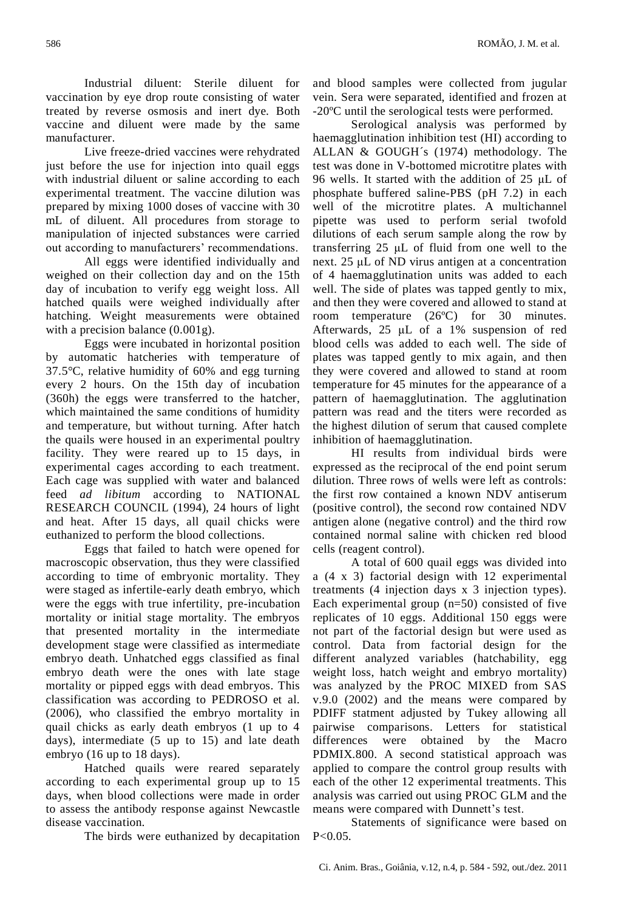Industrial diluent: Sterile diluent for vaccination by eye drop route consisting of water treated by reverse osmosis and inert dye. Both vaccine and diluent were made by the same manufacturer.

Live freeze-dried vaccines were rehydrated just before the use for injection into quail eggs with industrial diluent or saline according to each experimental treatment. The vaccine dilution was prepared by mixing 1000 doses of vaccine with 30 mL of diluent. All procedures from storage to manipulation of injected substances were carried out according to manufacturers' recommendations.

All eggs were identified individually and weighed on their collection day and on the 15th day of incubation to verify egg weight loss. All hatched quails were weighed individually after hatching. Weight measurements were obtained with a precision balance  $(0.001g)$ .

Eggs were incubated in horizontal position by automatic hatcheries with temperature of 37.5°C, relative humidity of 60% and egg turning every 2 hours. On the 15th day of incubation (360h) the eggs were transferred to the hatcher, which maintained the same conditions of humidity and temperature, but without turning. After hatch the quails were housed in an experimental poultry facility. They were reared up to 15 days, in experimental cages according to each treatment. Each cage was supplied with water and balanced feed *ad libitum* according to NATIONAL RESEARCH COUNCIL (1994), 24 hours of light and heat. After 15 days, all quail chicks were euthanized to perform the blood collections.

Eggs that failed to hatch were opened for macroscopic observation, thus they were classified according to time of embryonic mortality. They were staged as infertile-early death embryo, which were the eggs with true infertility, pre-incubation mortality or initial stage mortality. The embryos that presented mortality in the intermediate development stage were classified as intermediate embryo death. Unhatched eggs classified as final embryo death were the ones with late stage mortality or pipped eggs with dead embryos. This classification was according to PEDROSO et al. (2006), who classified the embryo mortality in quail chicks as early death embryos (1 up to 4 days), intermediate (5 up to 15) and late death embryo (16 up to 18 days).

Hatched quails were reared separately according to each experimental group up to 15 days, when blood collections were made in order to assess the antibody response against Newcastle disease vaccination.

The birds were euthanized by decapitation

and blood samples were collected from jugular vein. Sera were separated, identified and frozen at -20ºC until the serological tests were performed.

Serological analysis was performed by haemagglutination inhibition test (HI) according to ALLAN & GOUGH´s (1974) methodology. The test was done in V-bottomed microtitre plates with 96 wells. It started with the addition of 25 μL of phosphate buffered saline-PBS (pH 7.2) in each well of the microtitre plates. A multichannel pipette was used to perform serial twofold dilutions of each serum sample along the row by transferring 25 μL of fluid from one well to the next. 25 μL of ND virus antigen at a concentration of 4 haemagglutination units was added to each well. The side of plates was tapped gently to mix, and then they were covered and allowed to stand at room temperature (26ºC) for 30 minutes. Afterwards, 25 μL of a 1% suspension of red blood cells was added to each well. The side of plates was tapped gently to mix again, and then they were covered and allowed to stand at room temperature for 45 minutes for the appearance of a pattern of haemagglutination. The agglutination pattern was read and the titers were recorded as the highest dilution of serum that caused complete inhibition of haemagglutination.

HI results from individual birds were expressed as the reciprocal of the end point serum dilution. Three rows of wells were left as controls: the first row contained a known NDV antiserum (positive control), the second row contained NDV antigen alone (negative control) and the third row contained normal saline with chicken red blood cells (reagent control).

A total of 600 quail eggs was divided into a (4 x 3) factorial design with 12 experimental treatments (4 injection days x 3 injection types). Each experimental group (n=50) consisted of five replicates of 10 eggs. Additional 150 eggs were not part of the factorial design but were used as control. Data from factorial design for the different analyzed variables (hatchability, egg weight loss, hatch weight and embryo mortality) was analyzed by the PROC MIXED from SAS v.9.0 (2002) and the means were compared by PDIFF statment adjusted by Tukey allowing all pairwise comparisons. Letters for statistical differences were obtained by the Macro PDMIX.800. A second statistical approach was applied to compare the control group results with each of the other 12 experimental treatments. This analysis was carried out using PROC GLM and the means were compared with Dunnett's test.

Statements of significance were based on  $P < 0.05$ .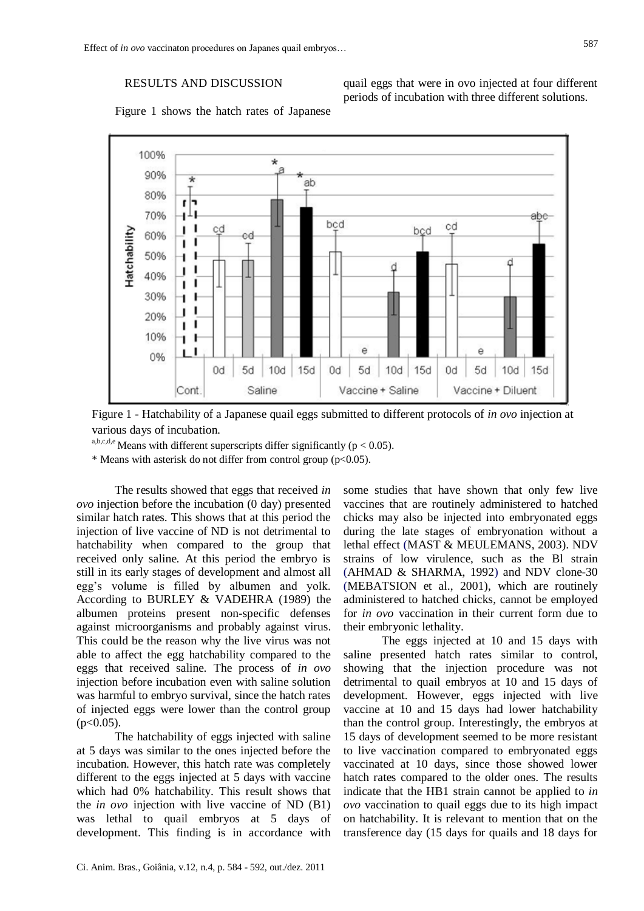# RESULTS AND DISCUSSION

quail eggs that were in ovo injected at four different periods of incubation with three different solutions.



Figure 1 shows the hatch rates of Japanese

Figure 1 - Hatchability of a Japanese quail eggs submitted to different protocols of *in ovo* injection at various days of incubation.

a,b,c,d,e Means with different superscripts differ significantly ( $p < 0.05$ ).

\* Means with asterisk do not differ from control group ( $p<0.05$ ).

The results showed that eggs that received *in ovo* injection before the incubation (0 day) presented similar hatch rates. This shows that at this period the injection of live vaccine of ND is not detrimental to hatchability when compared to the group that received only saline. At this period the embryo is still in its early stages of development and almost all egg's volume is filled by albumen and yolk. According to BURLEY & VADEHRA (1989) the albumen proteins present non-specific defenses against microorganisms and probably against virus. This could be the reason why the live virus was not able to affect the egg hatchability compared to the eggs that received saline. The process of *in ovo* injection before incubation even with saline solution was harmful to embryo survival, since the hatch rates of injected eggs were lower than the control group  $(p<0.05)$ .

The hatchability of eggs injected with saline at 5 days was similar to the ones injected before the incubation. However, this hatch rate was completely different to the eggs injected at 5 days with vaccine which had 0% hatchability. This result shows that the *in ovo* injection with live vaccine of ND (B1) was lethal to quail embryos at 5 days of development. This finding is in accordance with some studies that have shown that only few live vaccines that are routinely administered to hatched chicks may also be injected into embryonated eggs during the late stages of embryonation without a lethal effect (MAST & MEULEMANS, 2003). NDV strains of low virulence, such as the Bl strain (AHMAD & SHARMA, 1992) and NDV clone-30 (MEBATSION et al., 2001), which are routinely administered to hatched chicks, cannot be employed for *in ovo* vaccination in their current form due to their embryonic lethality.

The eggs injected at 10 and 15 days with saline presented hatch rates similar to control, showing that the injection procedure was not detrimental to quail embryos at 10 and 15 days of development. However, eggs injected with live vaccine at 10 and 15 days had lower hatchability than the control group. Interestingly, the embryos at 15 days of development seemed to be more resistant to live vaccination compared to embryonated eggs vaccinated at 10 days, since those showed lower hatch rates compared to the older ones. The results indicate that the HB1 strain cannot be applied to *in ovo* vaccination to quail eggs due to its high impact on hatchability. It is relevant to mention that on the transference day (15 days for quails and 18 days for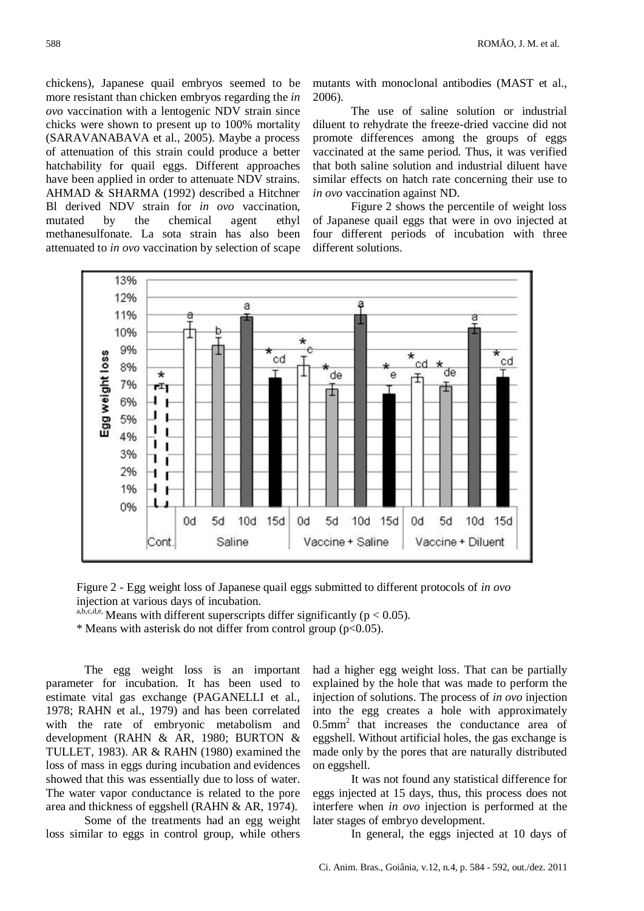chickens), Japanese quail embryos seemed to be more resistant than chicken embryos regarding the *in ovo* vaccination with a lentogenic NDV strain since chicks were shown to present up to 100% mortality (SARAVANABAVA et al., 2005). Maybe a process of attenuation of this strain could produce a better hatchability for quail eggs. Different approaches have been applied in order to attenuate NDV strains. AHMAD & SHARMA (1992) described a Hitchner Bl derived NDV strain for *in ovo* vaccination, mutated by the chemical agent ethyl methanesulfonate. La sota strain has also been attenuated to *in ovo* vaccination by selection of scape mutants with monoclonal antibodies (MAST et al., 2006).

The use of saline solution or industrial diluent to rehydrate the freeze-dried vaccine did not promote differences among the groups of eggs vaccinated at the same period. Thus, it was verified that both saline solution and industrial diluent have similar effects on hatch rate concerning their use to *in ovo* vaccination against ND.

Figure 2 shows the percentile of weight loss of Japanese quail eggs that were in ovo injected at four different periods of incubation with three different solutions.





a,b,c,d,e, Means with different superscripts differ significantly ( $p < 0.05$ ).

\* Means with asterisk do not differ from control group (p<0.05).

The egg weight loss is an important parameter for incubation. It has been used to estimate vital gas exchange (PAGANELLI et al., 1978; RAHN et al., 1979) and has been correlated with the rate of embryonic metabolism and development (RAHN & AR, 1980; BURTON & TULLET, 1983). AR & RAHN (1980) examined the loss of mass in eggs during incubation and evidences showed that this was essentially due to loss of water. The water vapor conductance is related to the pore area and thickness of eggshell (RAHN & AR, 1974).

Some of the treatments had an egg weight loss similar to eggs in control group, while others

had a higher egg weight loss. That can be partially explained by the hole that was made to perform the injection of solutions. The process of *in ovo* injection into the egg creates a hole with approximately  $0.5$ mm<sup>2</sup> that increases the conductance area of eggshell. Without artificial holes, the gas exchange is made only by the pores that are naturally distributed on eggshell.

It was not found any statistical difference for eggs injected at 15 days, thus, this process does not interfere when *in ovo* injection is performed at the later stages of embryo development.

In general, the eggs injected at 10 days of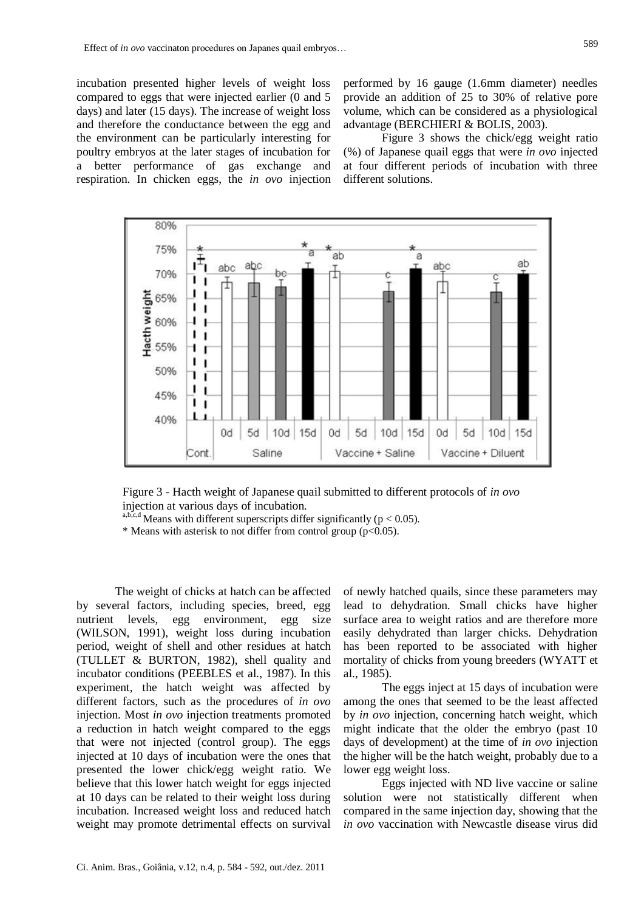incubation presented higher levels of weight loss compared to eggs that were injected earlier (0 and 5 days) and later (15 days). The increase of weight loss and therefore the conductance between the egg and the environment can be particularly interesting for poultry embryos at the later stages of incubation for a better performance of gas exchange and respiration. In chicken eggs, the *in ovo* injection

performed by 16 gauge (1.6mm diameter) needles provide an addition of 25 to 30% of relative pore volume, which can be considered as a physiological advantage (BERCHIERI & BOLIS, 2003).

Figure 3 shows the chick/egg weight ratio (%) of Japanese quail eggs that were *in ovo* injected at four different periods of incubation with three different solutions.



Figure 3 - Hacth weight of Japanese quail submitted to different protocols of *in ovo* injection at various days of incubation.

a,b,c,d Means with different superscripts differ significantly ( $p < 0.05$ ).

\* Means with asterisk to not differ from control group  $(p<0.05)$ .

The weight of chicks at hatch can be affected by several factors, including species, breed, egg nutrient levels, egg environment, egg size (WILSON, 1991), weight loss during incubation period, weight of shell and other residues at hatch (TULLET & BURTON, 1982), shell quality and incubator conditions (PEEBLES et al., 1987). In this experiment, the hatch weight was affected by different factors, such as the procedures of *in ovo* injection. Most *in ovo* injection treatments promoted a reduction in hatch weight compared to the eggs that were not injected (control group). The eggs injected at 10 days of incubation were the ones that presented the lower chick/egg weight ratio. We believe that this lower hatch weight for eggs injected at 10 days can be related to their weight loss during incubation. Increased weight loss and reduced hatch weight may promote detrimental effects on survival

of newly hatched quails, since these parameters may lead to dehydration. Small chicks have higher surface area to weight ratios and are therefore more easily dehydrated than larger chicks. Dehydration has been reported to be associated with higher mortality of chicks from young breeders (WYATT et al., 1985).

The eggs inject at 15 days of incubation were among the ones that seemed to be the least affected by *in ovo* injection, concerning hatch weight, which might indicate that the older the embryo (past 10 days of development) at the time of *in ovo* injection the higher will be the hatch weight, probably due to a lower egg weight loss.

Eggs injected with ND live vaccine or saline solution were not statistically different when compared in the same injection day, showing that the *in ovo* vaccination with Newcastle disease virus did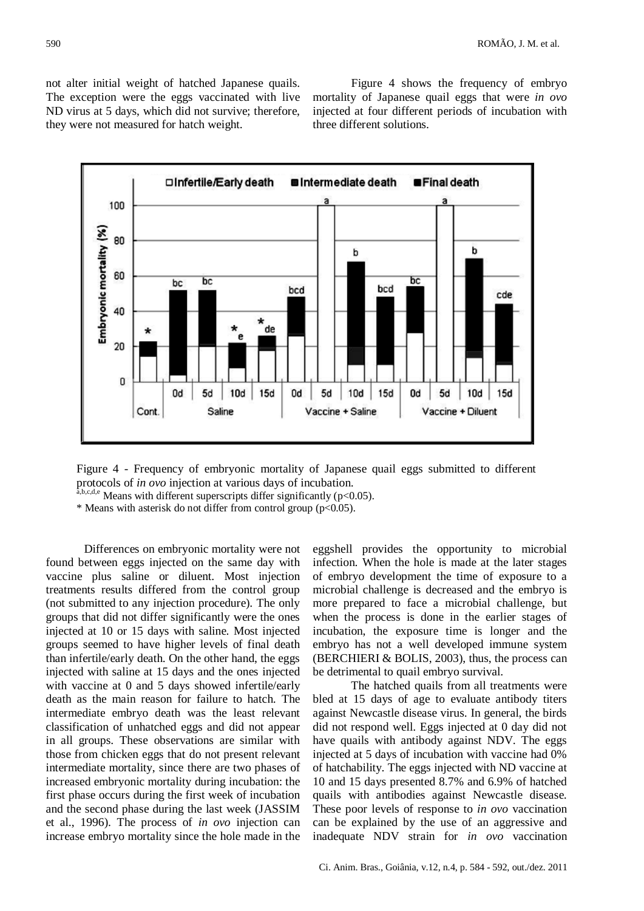not alter initial weight of hatched Japanese quails. The exception were the eggs vaccinated with live ND virus at 5 days, which did not survive; therefore, they were not measured for hatch weight.

Figure 4 shows the frequency of embryo mortality of Japanese quail eggs that were *in ovo* injected at four different periods of incubation with three different solutions.



Figure 4 - Frequency of embryonic mortality of Japanese quail eggs submitted to different protocols of *in ovo* injection at various days of incubation.

 $a,b,c,d,e$  Means with different superscripts differ significantly (p<0.05).

\* Means with asterisk do not differ from control group (p<0.05).

Differences on embryonic mortality were not found between eggs injected on the same day with vaccine plus saline or diluent. Most injection treatments results differed from the control group (not submitted to any injection procedure). The only groups that did not differ significantly were the ones injected at 10 or 15 days with saline. Most injected groups seemed to have higher levels of final death than infertile/early death. On the other hand, the eggs injected with saline at 15 days and the ones injected with vaccine at 0 and 5 days showed infertile/early death as the main reason for failure to hatch. The intermediate embryo death was the least relevant classification of unhatched eggs and did not appear in all groups. These observations are similar with those from chicken eggs that do not present relevant intermediate mortality, since there are two phases of increased embryonic mortality during incubation: the first phase occurs during the first week of incubation and the second phase during the last week (JASSIM et al., 1996). The process of *in ovo* injection can increase embryo mortality since the hole made in the

eggshell provides the opportunity to microbial infection. When the hole is made at the later stages of embryo development the time of exposure to a microbial challenge is decreased and the embryo is more prepared to face a microbial challenge, but when the process is done in the earlier stages of incubation, the exposure time is longer and the embryo has not a well developed immune system (BERCHIERI  $& BOLIS, 2003$ ), thus, the process can be detrimental to quail embryo survival.

The hatched quails from all treatments were bled at 15 days of age to evaluate antibody titers against Newcastle disease virus. In general, the birds did not respond well. Eggs injected at 0 day did not have quails with antibody against NDV. The eggs injected at 5 days of incubation with vaccine had 0% of hatchability. The eggs injected with ND vaccine at 10 and 15 days presented 8.7% and 6.9% of hatched quails with antibodies against Newcastle disease. These poor levels of response to *in ovo* vaccination can be explained by the use of an aggressive and inadequate NDV strain for *in ovo* vaccination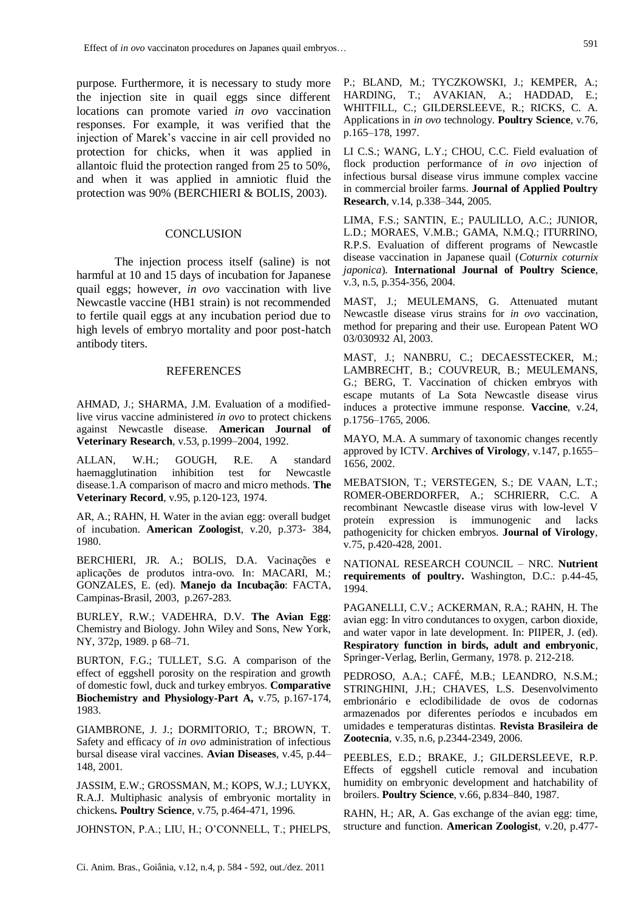purpose. Furthermore, it is necessary to study more the injection site in quail eggs since different locations can promote varied *in ovo* vaccination responses. For example, it was verified that the injection of Marek's vaccine in air cell provided no protection for chicks, when it was applied in allantoic fluid the protection ranged from 25 to 50%, and when it was applied in amniotic fluid the protection was 90% (BERCHIERI & BOLIS, 2003).

#### **CONCLUSION**

The injection process itself (saline) is not harmful at 10 and 15 days of incubation for Japanese quail eggs; however, *in ovo* vaccination with live Newcastle vaccine (HB1 strain) is not recommended to fertile quail eggs at any incubation period due to high levels of embryo mortality and poor post-hatch antibody titers.

#### **REFERENCES**

AHMAD, J.; SHARMA, J.M. Evaluation of a modifiedlive virus vaccine administered *in ovo* to protect chickens against Newcastle disease. **American Journal of Veterinary Research**, v.53, p.1999–2004, 1992.

ALLAN, W.H.; GOUGH, R.E. A standard haemagglutination inhibition test for Newcastle disease.1.A comparison of macro and micro methods. **The Veterinary Record**, v.95, p.120-123, 1974.

AR, A.; RAHN, H. Water in the avian egg: overall budget of incubation. **American Zoologist**, v.20, p.373- 384, 1980.

BERCHIERI, JR. A.; BOLIS, D.A. Vacinações e aplicações de produtos intra-ovo. In: MACARI, M.; GONZALES, E. (ed). **Manejo da Incubação**: FACTA, Campinas-Brasil, 2003, p.267-283.

BURLEY, R.W.; VADEHRA, D.V. **The Avian Egg**: Chemistry and Biology. John Wiley and Sons, New York, NY, 372p, 1989. p 68–71.

BURTON, F.G.; TULLET, S.G. A comparison of the effect of eggshell porosity on the respiration and growth of domestic fowl, duck and turkey embryos. **Comparative Biochemistry and Physiology-Part A,** v.75, p.167-174, 1983.

GIAMBRONE, J. J.; DORMITORIO, T.; BROWN, T. Safety and efficacy of *in ovo* administration of infectious bursal disease viral vaccines. **Avian Diseases**, v.45, p.44– 148, 2001.

JASSIM, E.W.; GROSSMAN, M.; KOPS, W.J.; LUYKX, R.A.J. Multiphasic analysis of embryonic mortality in chickens**. Poultry Science**, v.75, p.464-471, 1996.

JOHNSTON, P.A.; LIU, H.; O'CONNELL, T.; PHELPS,

P.; BLAND, M.; TYCZKOWSKI, J.; KEMPER, A.; HARDING, T.; AVAKIAN, A.; HADDAD, E.; WHITFILL, C.; GILDERSLEEVE, R.; RICKS, C. A. Applications in *in ovo* technology. **Poultry Science**, v.76, p.165–178, 1997.

LI C.S.; WANG, L.Y.; CHOU, C.C. Field evaluation of flock production performance of *in ovo* injection of infectious bursal disease virus immune complex vaccine in commercial broiler farms. **Journal of Applied Poultry Research**, v.14, p.338–344, 2005.

LIMA, F.S.; SANTIN, E.; PAULILLO, A.C.; JUNIOR, L.D.; MORAES, V.M.B.; GAMA, N.M.Q.; ITURRINO, R.P.S. Evaluation of different programs of Newcastle disease vaccination in Japanese quail (*Coturnix coturnix japonica*). **International Journal of Poultry Science**, v.3, n.5, p.354-356, 2004.

MAST, J.; MEULEMANS, G. Attenuated mutant Newcastle disease virus strains for *in ovo* vaccination, method for preparing and their use. European Patent WO 03/030932 Al, 2003.

MAST, J.; NANBRU, C.; DECAESSTECKER, M.; LAMBRECHT, B.; COUVREUR, B.; MEULEMANS, G.; BERG, T. Vaccination of chicken embryos with escape mutants of La Sota Newcastle disease virus induces a protective immune response. **Vaccine**, v.24, p.1756–1765, 2006.

MAYO, M.A. A summary of taxonomic changes recently approved by ICTV. **Archives of Virology**, v.147, p.1655– 1656, 2002.

MEBATSION, T.; VERSTEGEN, S.; DE VAAN, L.T.; ROMER-OBERDORFER, A.; SCHRIERR, C.C. A recombinant Newcastle disease virus with low-level V protein expression is immunogenic and lacks pathogenicity for chicken embryos. **Journal of Virology**, v.75, p.420-428, 2001.

NATIONAL RESEARCH COUNCIL – NRC. **Nutrient requirements of poultry.** Washington, D.C.: p.44-45, 1994.

PAGANELLI, C.V.; ACKERMAN, R.A.; RAHN, H. The avian egg: In vitro condutances to oxygen, carbon dioxide, and water vapor in late development. In: PIIPER, J. (ed). **Respiratory function in birds, adult and embryonic**, Springer-Verlag, Berlin, Germany, 1978. p. 212-218.

PEDROSO, A.A.; CAFÉ, M.B.; LEANDRO, N.S.M.; STRINGHINI, J.H.; CHAVES, L.S. Desenvolvimento embrionário e eclodibilidade de ovos de codornas armazenados por diferentes períodos e incubados em umidades e temperaturas distintas. **Revista Brasileira de Zootecnia**, v.35, n.6, p.2344-2349, 2006.

PEEBLES, E.D.; BRAKE, J.; GILDERSLEEVE, R.P. Effects of eggshell cuticle removal and incubation humidity on embryonic development and hatchability of broilers. **Poultry Science**, v.66, p.834–840, 1987.

RAHN, H.; AR, A. Gas exchange of the avian egg: time, structure and function. **American Zoologist**, v.20, p.477